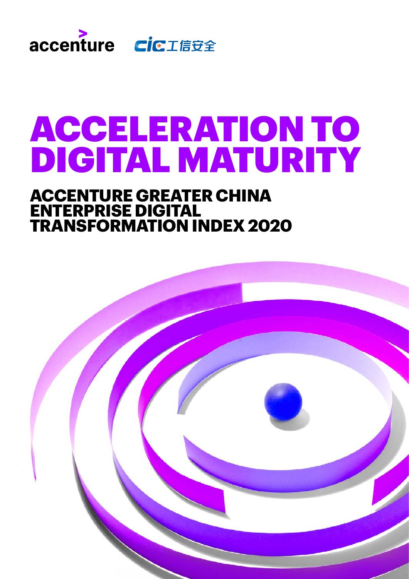

# ACCELERATION TO DIGITAL MATURITY

### **ACCENTURE GREATER CHINA ENTERPRISE DIGITAL TRANSFORMATION INDEX 2020**

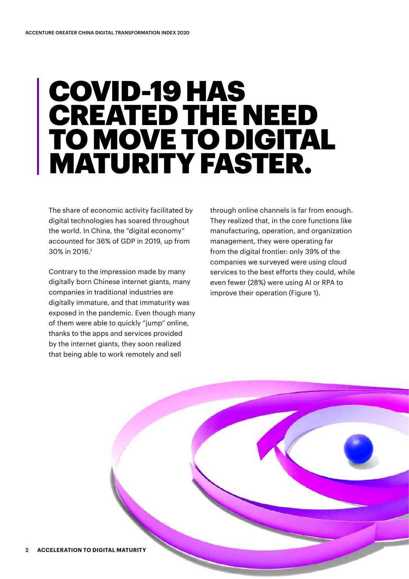## COVID-19 HAS CREATED THE NEED TO MOVE TO DIGITAL MATURITY FASTER.

The share of economic activity facilitated by digital technologies has soared throughout the world. In China, the "digital economy" accounted for 36% of GDP in 2019, up from 30% in 2016.<sup>1</sup>

Contrary to the impression made by many digitally born Chinese internet giants, many companies in traditional industries are digitally immature, and that immaturity was exposed in the pandemic. Even though many of them were able to quickly "jump" online, thanks to the apps and services provided by the internet giants, they soon realized that being able to work remotely and sell

through online channels is far from enough. They realized that, in the core functions like manufacturing, operation, and organization management, they were operating far from the digital frontier: only 39% of the companies we surveyed were using cloud services to the best efforts they could, while even fewer (28%) were using AI or RPA to improve their operation (Figure 1).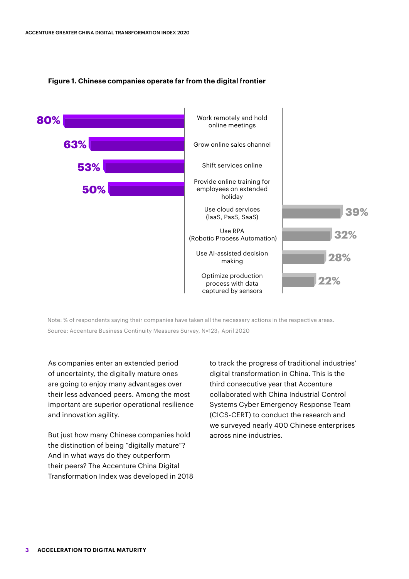

#### **Figure 1. Chinese companies operate far from the digital frontier**

Note: % of respondents saying their companies have taken all the necessary actions in the respective areas. Source: Accenture Business Continuity Measures Survey, N=123, April 2020

As companies enter an extended period of uncertainty, the digitally mature ones are going to enjoy many advantages over their less advanced peers. Among the most important are superior operational resilience and innovation agility.

But just how many Chinese companies hold the distinction of being "digitally mature"? And in what ways do they outperform their peers? The Accenture China Digital Transformation Index was developed in 2018 to track the progress of traditional industries' digital transformation in China. This is the third consecutive year that Accenture collaborated with China Industrial Control Systems Cyber Emergency Response Team (CICS-CERT) to conduct the research and we surveyed nearly 400 Chinese enterprises across nine industries.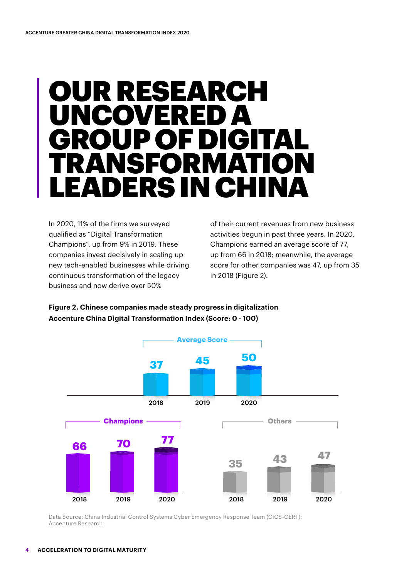## IR RESEARCH UNCOVERED A GROUP OF DIGITAL SFOR LEADERS IN CHINA

In 2020, 11% of the firms we surveyed qualified as "Digital Transformation Champions", up from 9% in 2019. These companies invest decisively in scaling up new tech-enabled businesses while driving continuous transformation of the legacy business and now derive over 50%

of their current revenues from new business activities begun in past three years. In 2020, Champions earned an average score of 77, up from 66 in 2018; meanwhile, the average score for other companies was 47, up from 35 in 2018 (Figure 2).

**Figure 2. Chinese companies made steady progress in digitalization Accenture China Digital Transformation Index (Score: 0 - 100)**



Data Source: China Industrial Control Systems Cyber Emergency Response Team (CICS-CERT); Accenture Research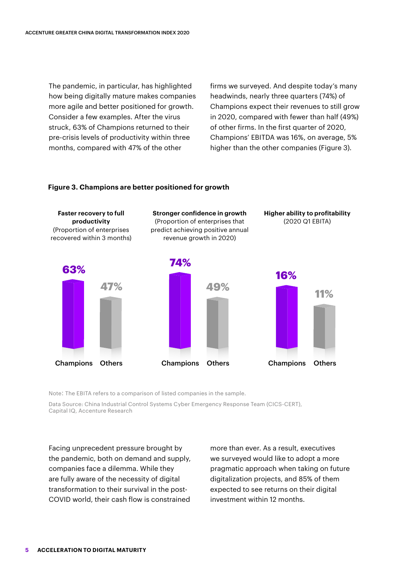The pandemic, in particular, has highlighted how being digitally mature makes companies more agile and better positioned for growth. Consider a few examples. After the virus struck, 63% of Champions returned to their pre-crisis levels of productivity within three months, compared with 47% of the other

firms we surveyed. And despite today's many headwinds, nearly three quarters (74%) of Champions expect their revenues to still grow in 2020, compared with fewer than half (49%) of other firms. In the first quarter of 2020, Champions' EBITDA was 16%, on average, 5% higher than the other companies (Figure 3).

#### **Figure 3. Champions are better positioned for growth**



Note: The EBITA refers to a comparison of listed companies in the sample.

Data Source: China Industrial Control Systems Cyber Emergency Response Team (CICS-CERT), Capital IQ, Accenture Research

Facing unprecedent pressure brought by the pandemic, both on demand and supply, companies face a dilemma. While they are fully aware of the necessity of digital transformation to their survival in the post-COVID world, their cash flow is constrained

more than ever. As a result, executives we surveyed would like to adopt a more pragmatic approach when taking on future digitalization projects, and 85% of them expected to see returns on their digital investment within 12 months.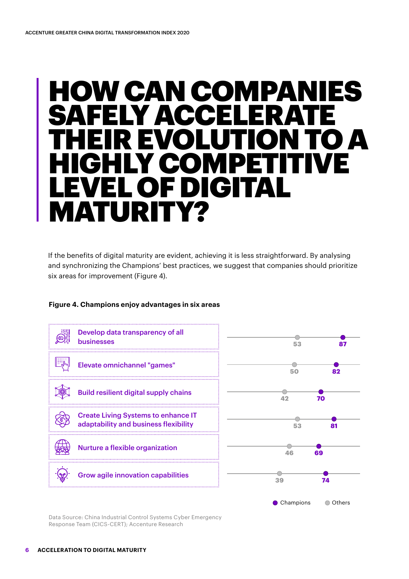## W CAN COMPANIES SAFELY ACCELERATE THEIR EVOLUTION TO A HIGHLY COMPETITIVE LEVEL OF DIGITAL MATURITY?

If the benefits of digital maturity are evident, achieving it is less straightforward. By analysing and synchronizing the Champions' best practices, we suggest that companies should prioritize six areas for improvement (Figure 4).

#### **Figure 4. Champions enjoy advantages in six areas**



Data Source: China Industrial Control Systems Cyber Emergency Response Team (CICS-CERT); Accenture Research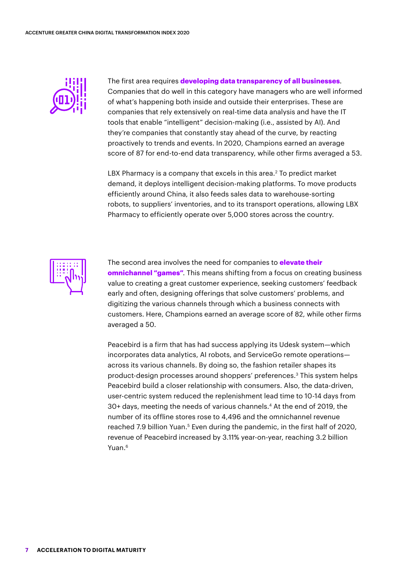

The first area requires **developing data transparency of all businesses**. Companies that do well in this category have managers who are well informed of what's happening both inside and outside their enterprises. These are companies that rely extensively on real-time data analysis and have the IT tools that enable "intelligent" decision-making (i.e., assisted by AI). And they're companies that constantly stay ahead of the curve, by reacting proactively to trends and events. In 2020, Champions earned an average score of 87 for end-to-end data transparency, while other firms averaged a 53.

LBX Pharmacy is a company that excels in this area.<sup>2</sup> To predict market demand, it deploys intelligent decision-making platforms. To move products efficiently around China, it also feeds sales data to warehouse-sorting robots, to suppliers' inventories, and to its transport operations, allowing LBX Pharmacy to efficiently operate over 5,000 stores across the country.



The second area involves the need for companies to **elevate their omnichannel "games"**. This means shifting from a focus on creating business value to creating a great customer experience, seeking customers' feedback early and often, designing offerings that solve customers' problems, and digitizing the various channels through which a business connects with customers. Here, Champions earned an average score of 82, while other firms averaged a 50.

Peacebird is a firm that has had success applying its Udesk system—which incorporates data analytics, AI robots, and ServiceGo remote operations across its various channels. By doing so, the fashion retailer shapes its product-design processes around shoppers' preferences.3 This system helps Peacebird build a closer relationship with consumers. Also, the data-driven, user-centric system reduced the replenishment lead time to 10-14 days from 30+ days, meeting the needs of various channels.4 At the end of 2019, the number of its offline stores rose to 4,496 and the omnichannel revenue reached 7.9 billion Yuan.<sup>5</sup> Even during the pandemic, in the first half of 2020, revenue of Peacebird increased by 3.11% year-on-year, reaching 3.2 billion Yuan.6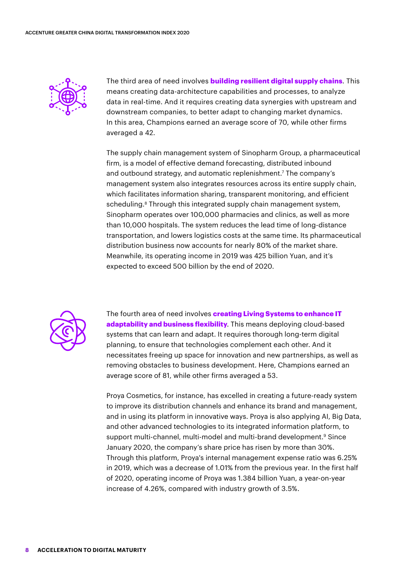

The third area of need involves **building resilient digital supply chains**. This means creating data-architecture capabilities and processes, to analyze data in real-time. And it requires creating data synergies with upstream and downstream companies, to better adapt to changing market dynamics. In this area, Champions earned an average score of 70, while other firms averaged a 42.

The supply chain management system of Sinopharm Group, a pharmaceutical firm, is a model of effective demand forecasting, distributed inbound and outbound strategy, and automatic replenishment.7 The company's management system also integrates resources across its entire supply chain, which facilitates information sharing, transparent monitoring, and efficient scheduling.<sup>8</sup> Through this integrated supply chain management system, Sinopharm operates over 100,000 pharmacies and clinics, as well as more than 10,000 hospitals. The system reduces the lead time of long-distance transportation, and lowers logistics costs at the same time. Its pharmaceutical distribution business now accounts for nearly 80% of the market share. Meanwhile, its operating income in 2019 was 425 billion Yuan, and it's expected to exceed 500 billion by the end of 2020.



The fourth area of need involves **creating Living Systems to enhance IT adaptability and business flexibility**. This means deploying cloud-based systems that can learn and adapt. It requires thorough long-term digital planning, to ensure that technologies complement each other. And it necessitates freeing up space for innovation and new partnerships, as well as removing obstacles to business development. Here, Champions earned an average score of 81, while other firms averaged a 53.

Proya Cosmetics, for instance, has excelled in creating a future-ready system to improve its distribution channels and enhance its brand and management, and in using its platform in innovative ways. Proya is also applying AI, Big Data, and other advanced technologies to its integrated information platform, to support multi-channel, multi-model and multi-brand development.<sup>9</sup> Since January 2020, the company's share price has risen by more than 30%. Through this platform, Proya's internal management expense ratio was 6.25% in 2019, which was a decrease of 1.01% from the previous year. In the first half of 2020, operating income of Proya was 1.384 billion Yuan, a year-on-year increase of 4.26%, compared with industry growth of 3.5%.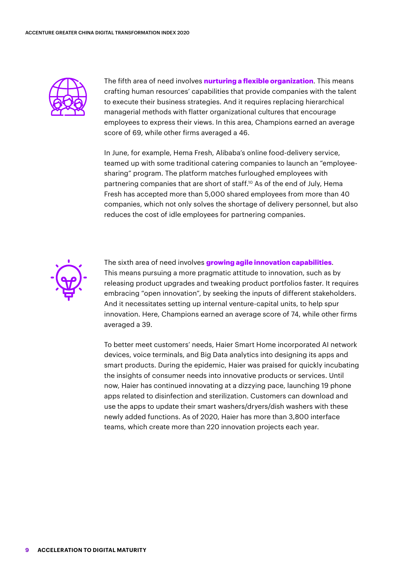

The fifth area of need involves **nurturing a flexible organization**. This means crafting human resources' capabilities that provide companies with the talent to execute their business strategies. And it requires replacing hierarchical managerial methods with flatter organizational cultures that encourage employees to express their views. In this area, Champions earned an average score of 69, while other firms averaged a 46.

In June, for example, Hema Fresh, Alibaba's online food-delivery service, teamed up with some traditional catering companies to launch an "employeesharing" program. The platform matches furloughed employees with partnering companies that are short of staff.10 As of the end of July, Hema Fresh has accepted more than 5,000 shared employees from more than 40 companies, which not only solves the shortage of delivery personnel, but also reduces the cost of idle employees for partnering companies.



The sixth area of need involves **growing agile innovation capabilities**. This means pursuing a more pragmatic attitude to innovation, such as by releasing product upgrades and tweaking product portfolios faster. It requires embracing "open innovation", by seeking the inputs of different stakeholders. And it necessitates setting up internal venture-capital units, to help spur innovation. Here, Champions earned an average score of 74, while other firms averaged a 39.

To better meet customers' needs, Haier Smart Home incorporated AI network devices, voice terminals, and Big Data analytics into designing its apps and smart products. During the epidemic, Haier was praised for quickly incubating the insights of consumer needs into innovative products or services. Until now, Haier has continued innovating at a dizzying pace, launching 19 phone apps related to disinfection and sterilization. Customers can download and use the apps to update their smart washers/dryers/dish washers with these newly added functions. As of 2020, Haier has more than 3,800 interface teams, which create more than 220 innovation projects each year.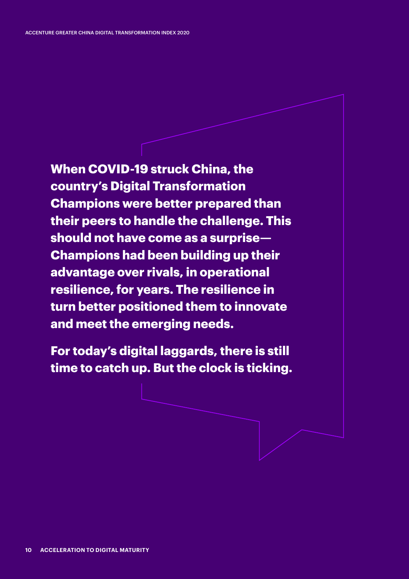**When COVID-19 struck China, the country's Digital Transformation Champions were better prepared than their peers to handle the challenge. This should not have come as a surprise— Champions had been building up their advantage over rivals, in operational resilience, for years. The resilience in turn better positioned them to innovate and meet the emerging needs.** 

**For today's digital laggards, there is still time to catch up. But the clock is ticking.**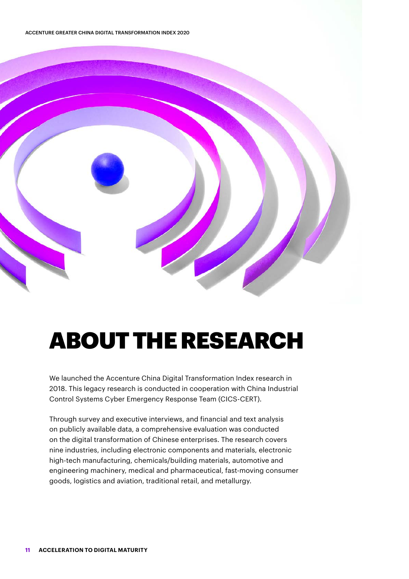ACCENTURE GREATER CHINA DIGITAL TRANSFORMATION INDEX 2020



## ABOUT THE RESEARCH

We launched the Accenture China Digital Transformation Index research in 2018. This legacy research is conducted in cooperation with China Industrial Control Systems Cyber Emergency Response Team (CICS-CERT).

Through survey and executive interviews, and financial and text analysis on publicly available data, a comprehensive evaluation was conducted on the digital transformation of Chinese enterprises. The research covers nine industries, including electronic components and materials, electronic high-tech manufacturing, chemicals/building materials, automotive and engineering machinery, medical and pharmaceutical, fast-moving consumer goods, logistics and aviation, traditional retail, and metallurgy.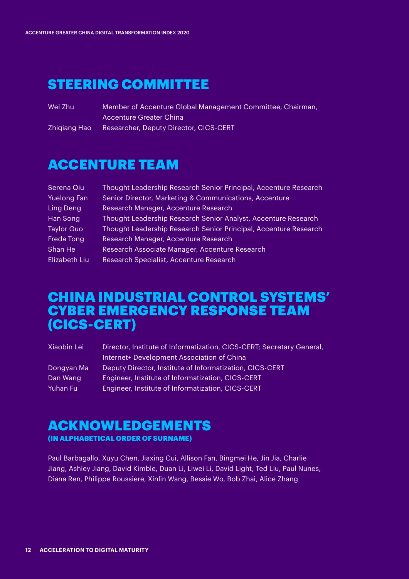### STEERING COMMITTEE

Member of Accenture Global Management Committee, Chairman, Accenture Greater China Wei Zhu

Researcher, Deputy Director, CICS-CERT Zhiqiang Hao

### ACCENTURE TEAM

| Serena Qiu         | Thought Leadership Research Senior Principal, Accenture Research |
|--------------------|------------------------------------------------------------------|
| <b>Yuelong Fan</b> | Senior Director, Marketing & Communications, Accenture           |
| Ling Deng          | Research Manager, Accenture Research                             |
| Han Song           | Thought Leadership Research Senior Analyst, Accenture Research   |
| <b>Taylor Guo</b>  | Thought Leadership Research Senior Principal, Accenture Research |
| Freda Tong         | Research Manager, Accenture Research                             |
| Shan He            | Research Associate Manager, Accenture Research                   |
| Elizabeth Liu      | Research Specialist, Accenture Research                          |

### CHINA INDUSTRIAL CONTROL SYSTEMS' CYBER EMERGENCY RESPONSE TEAM (CICS-CERT)

| Xiaobin Lei | Director, Institute of Informatization, CICS-CERT; Secretary General, |
|-------------|-----------------------------------------------------------------------|
|             | Internet+ Development Association of China                            |
| Dongyan Ma  | Deputy Director, Institute of Informatization, CICS-CERT              |
| Dan Wang    | Engineer, Institute of Informatization, CICS-CERT                     |
| Yuhan Fu    | Engineer, Institute of Informatization, CICS-CERT                     |

#### ACKNOWLEDGEMENTS (IN ALPHABETICAL ORDER OF SURNAME)

Paul Barbagallo, Xuyu Chen, Jiaxing Cui, Allison Fan, Bingmei He, Jin Jia, Charlie Jiang, Ashley Jiang, David Kimble, Duan Li, Liwei Li, David Light, Ted Liu, Paul Nunes, Diana Ren, Philippe Roussiere, Xinlin Wang, Bessie Wo, Bob Zhai, Alice Zhang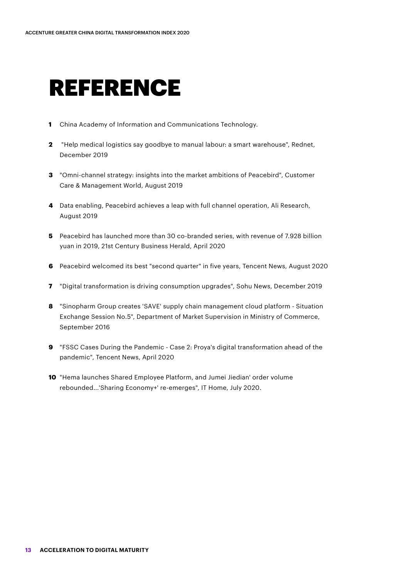### REFERENCE

- **1** China Academy of Information and Communications Technology.
- **2** "Help medical logistics say goodbye to manual labour: a smart warehouse", Rednet, December 2019
- **3** "Omni-channel strategy: insights into the market ambitions of Peacebird", Customer Care & Management World, August 2019
- **4** Data enabling, Peacebird achieves a leap with full channel operation, Ali Research, August 2019
- **5** Peacebird has launched more than 30 co-branded series, with revenue of 7.928 billion yuan in 2019, 21st Century Business Herald, April 2020
- **6** Peacebird welcomed its best "second quarter" in five years, Tencent News, August 2020
- **7** "Digital transformation is driving consumption upgrades", Sohu News, December 2019
- **8** "Sinopharm Group creates 'SAVE' supply chain management cloud platform Situation Exchange Session No.5", Department of Market Supervision in Ministry of Commerce, September 2016
- **9** "FSSC Cases During the Pandemic Case 2: Proya's digital transformation ahead of the pandemic", Tencent News, April 2020
- **10** "Hema launches Shared Employee Platform, and Jumei Jiedian' order volume rebounded...'Sharing Economy+' re-emerges", IT Home, July 2020.